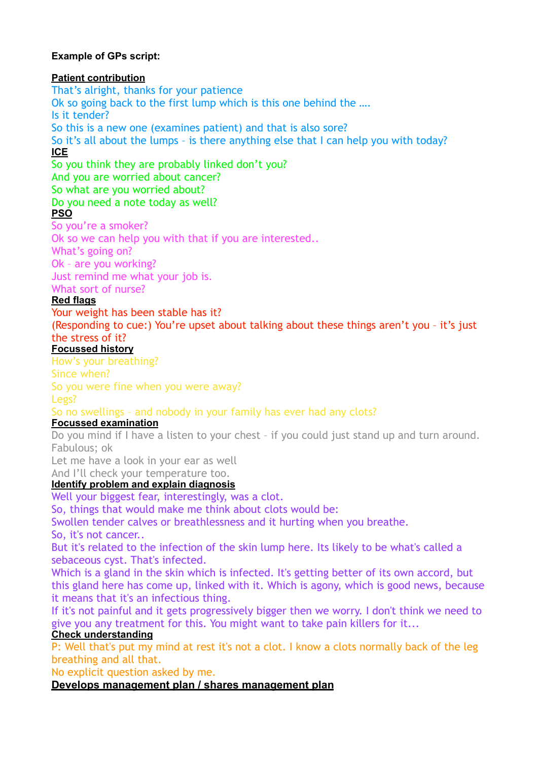### **Example of GPs script:**

#### **Patient contribution**

That's alright, thanks for your patience Ok so going back to the first lump which is this one behind the …. Is it tender? So this is a new one (examines patient) and that is also sore? So it's all about the lumps – is there anything else that I can help you with today? **ICE** 

So you think they are probably linked don't you?

And you are worried about cancer?

# So what are you worried about?

## Do you need a note today as well?

### **PSO**

So you're a smoker? Ok so we can help you with that if you are interested.. What's going on? Ok – are you working? Just remind me what your job is. What sort of nurse?

### **Red flags**

Your weight has been stable has it?

(Responding to cue:) You're upset about talking about these things aren't you – it's just the stress of it?

### **Focussed history**

How's your breathing?

Since when?

So you were fine when you were away?

Legs?

# So no swellings – and nobody in your family has ever had any clots?

## **Focussed examination**

Do you mind if I have a listen to your chest – if you could just stand up and turn around. Fabulous; ok

Let me have a look in your ear as well

And I'll check your temperature too.

### **Identify problem and explain diagnosis**

Well your biggest fear, interestingly, was a clot.

So, things that would make me think about clots would be:

Swollen tender calves or breathlessness and it hurting when you breathe.

So, it's not cancer..

But it's related to the infection of the skin lump here. Its likely to be what's called a sebaceous cyst. That's infected.

Which is a gland in the skin which is infected. It's getting better of its own accord, but this gland here has come up, linked with it. Which is agony, which is good news, because it means that it's an infectious thing.

If it's not painful and it gets progressively bigger then we worry. I don't think we need to give you any treatment for this. You might want to take pain killers for it...

### **Check understanding**

P: Well that's put my mind at rest it's not a clot. I know a clots normally back of the leg breathing and all that.

No explicit question asked by me.

### **Develops management plan / shares management plan**